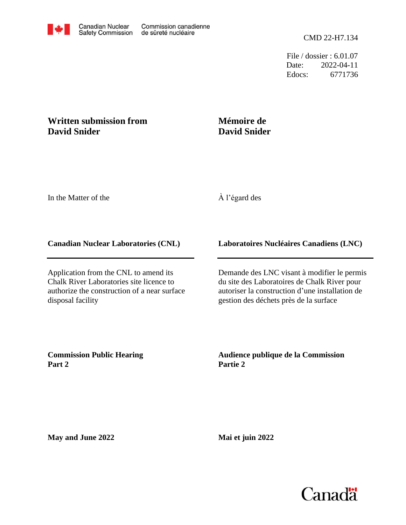File / dossier : 6.01.07 Date: 2022-04-11 Edocs: 6771736

## **Written submission from David Snider**

# **Mémoire de David Snider**

In the Matter of the

## À l'égard des

#### **Canadian Nuclear Laboratories (CNL)**

Application from the CNL to amend its Chalk River Laboratories site licence to authorize the construction of a near surface disposal facility

### **Laboratoires Nucléaires Canadiens (LNC)**

Demande des LNC visant à modifier le permis du site des Laboratoires de Chalk River pour autoriser la construction d'une installation de gestion des déchets près de la surface

**Commission Public Hearing Part 2**

**Audience publique de la Commission Partie 2**

**May and June 2022**

**Mai et juin 2022**

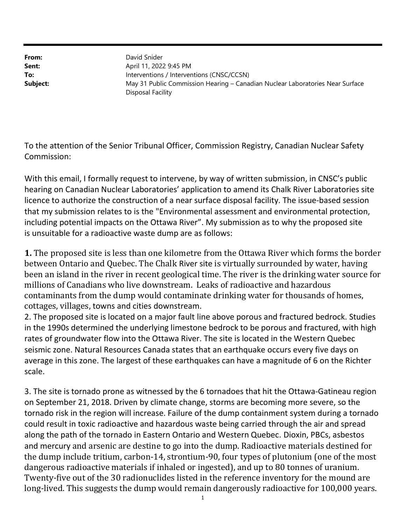From: Sent: To: Subject: Disposal Facility May 31 Public Commission Hearing – Canadian Nuclear Laboratories Near Surface Interventions / Interventions (CNSC/CCSN) April 11, 2022 9:45 PM David Snider

To the attention of the Senior Tribunal Officer, Commission Registry, Canadian Nuclear Safety Commission:

With this email, I formally request to intervene, by way of written submission, in CNSC's public hearing on Canadian Nuclear Laboratories' application to amend its Chalk River Laboratories site licence to authorize the construction of a near surface disposal facility. The issue-based session that my submission relates to is the "Environmental assessment and environmental protection, including potential impacts on the Ottawa River". My submission as to why the proposed site is unsuitable for a radioactive waste dump are as follows:

1. The proposed site is less than one kilometre from the Ottawa River which forms the border between Ontario and Quebec. The Chalk River site is virtually surrounded by water, having been an island in the river in recent geological time. The river is the drinking water source for millions of Canadians who live downstream. Leaks of radioactive and hazardous contaminants from the dump would contaminate drinking water for thousands of homes, cottages, villages, towns and cities downstream.

2. The proposed site is located on a major fault line above porous and fractured bedrock. Studies in the 1990s determined the underlying limestone bedrock to be porous and fractured, with high rates of groundwater flow into the Ottawa River. The site is located in the Western Quebec seismic zone. Natural Resources Canada states that an earthquake occurs every five days on average in this zone. The largest of these earthquakes can have a magnitude of 6 on the Richter scale.

3. The site is tornado prone as witnessed by the 6 tornadoes that hit the Ottawa-Gatineau region on September 21, 2018. Driven by climate change, storms are becoming more severe, so the tornado risk in the region will increase. Failure of the dump containment system during a tornado could result in toxic radioactive and hazardous waste being carried through the air and spread along the path of the tornado in Eastern Ontario and Western Quebec. Dioxin, PBCs, asbestos and mercury and arsenic are destine to go into the dump. Radioactive materials destined for the dump include tritium, carbon-14, strontium-90, four types of plutonium (one of the most dangerous radioactive materials if inhaled or ingested), and up to 80 tonnes of uranium. Twenty-five out of the 30 radionuclides listed in the reference inventory for the mound are long-lived. This suggests the dump would remain dangerously radioactive for 100,000 years.